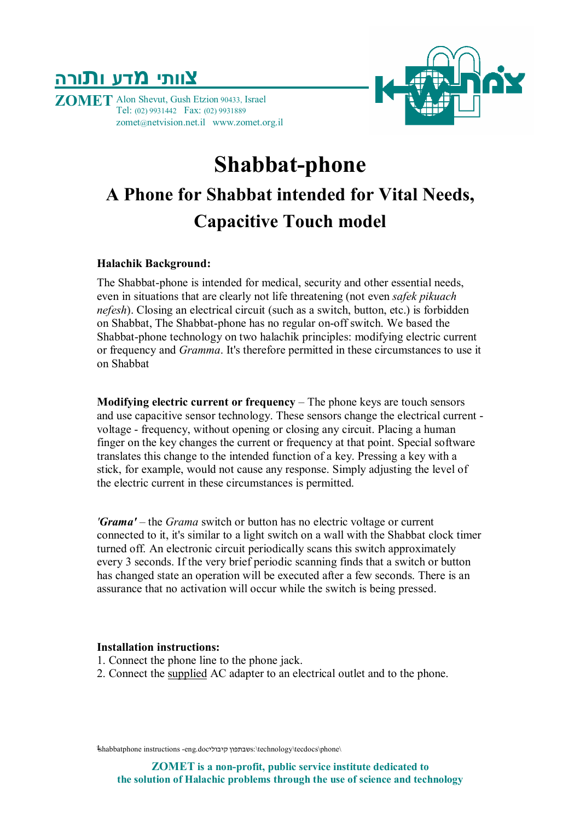

**ZOMET** Alon Shevut, Gush Etzion 90433, Israel Tel: (02) 9931442 Fax: (02) 9931889 zomet@netvision.net.il www.zomet.org.il

# **Shabbat-phone A Phone for Shabbat intended for Vital Needs,**

# **Capacitive Touch model**

#### **Halachik Background:**

The Shabbat-phone is intended for medical, security and other essential needs, even in situations that are clearly not life threatening (not even *safek pikuach nefesh*). Closing an electrical circuit (such as a switch, button, etc.) is forbidden on Shabbat, The Shabbat-phone has no regular on-off switch. We based the Shabbat-phone technology on two halachik principles: modifying electric current or frequency and *Gramma*. It's therefore permitted in these circumstances to use it on Shabbat

**Modifying electric current or frequency** – The phone keys are touch sensors and use capacitive sensor technology. These sensors change the electrical current voltage - frequency, without opening or closing any circuit. Placing a human finger on the key changes the current or frequency at that point. Special software translates this change to the intended function of a key. Pressing a key with a stick, for example, would not cause any response. Simply adjusting the level of the electric current in these circumstances is permitted.

*'Grama'* – the *Grama* switch or button has no electric voltage or current connected to it, it's similar to a light switch on a wall with the Shabbat clock timer turned off. An electronic circuit periodically scans this switch approximately every 3 seconds. If the very brief periodic scanning finds that a switch or button has changed state an operation will be executed after a few seconds. There is an assurance that no activation will occur while the switch is being pressed.

#### **Installation instructions:**

- 1. Connect the phone line to the phone jack.
- 2. Connect the supplied AC adapter to an electrical outlet and to the phone.

\shabbatphone instructions -eng.docקיבולי שבתפוןs:\technology\tecdocs\phone\ 1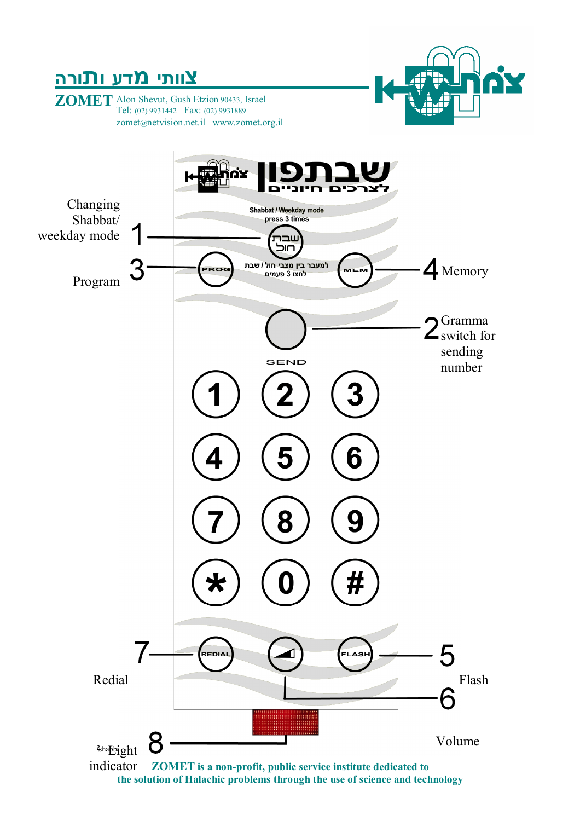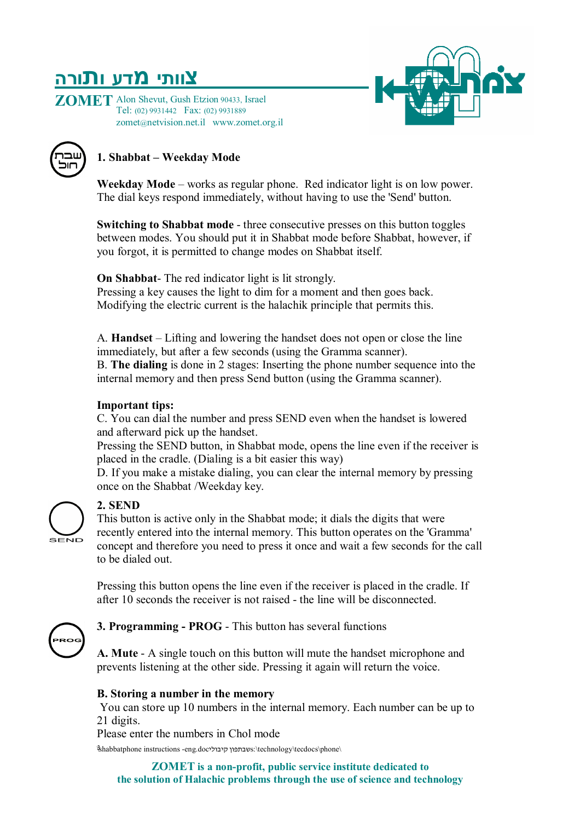**ZOMET** Alon Shevut, Gush Etzion 90433, Israel Tel: (02) 9931442 Fax: (02) 9931889 zomet@netvision.net.il www.zomet.org.il





### **1. Shabbat – Weekday Mode**

**Weekday Mode** – works as regular phone. Red indicator light is on low power. The dial keys respond immediately, without having to use the 'Send' button.

**Switching to Shabbat mode** - three consecutive presses on this button toggles between modes. You should put it in Shabbat mode before Shabbat, however, if you forgot, it is permitted to change modes on Shabbat itself.

**On Shabbat**- The red indicator light is lit strongly. Pressing a key causes the light to dim for a moment and then goes back. Modifying the electric current is the halachik principle that permits this.

A. **Handset** – Lifting and lowering the handset does not open or close the line immediately, but after a few seconds (using the Gramma scanner).

B. **The dialing** is done in 2 stages: Inserting the phone number sequence into the internal memory and then press Send button (using the Gramma scanner).

#### **Important tips:**

C. You can dial the number and press SEND even when the handset is lowered and afterward pick up the handset.

Pressing the SEND button, in Shabbat mode, opens the line even if the receiver is placed in the cradle. (Dialing is a bit easier this way)

D. If you make a mistake dialing, you can clear the internal memory by pressing once on the Shabbat /Weekday key.



### **2. SEND**

This button is active only in the Shabbat mode; it dials the digits that were recently entered into the internal memory. This button operates on the 'Gramma' concept and therefore you need to press it once and wait a few seconds for the call to be dialed out.

Pressing this button opens the line even if the receiver is placed in the cradle. If after 10 seconds the receiver is not raised - the line will be disconnected.



**3. Programming - PROG** - This button has several functions

**A. Mute** - A single touch on this button will mute the handset microphone and prevents listening at the other side. Pressing it again will return the voice.

#### **B. Storing a number in the memory**

You can store up 10 numbers in the internal memory. Each number can be up to 21 digits.

Please enter the numbers in Chol mode

\shabbatphone instructions -eng.docקיבולי שבתפוןs:\technology\tecdocs\phone\ 3

 **ZOMET is a non-profit, public service institute dedicated to the solution of Halachic problems through the use of science and technology**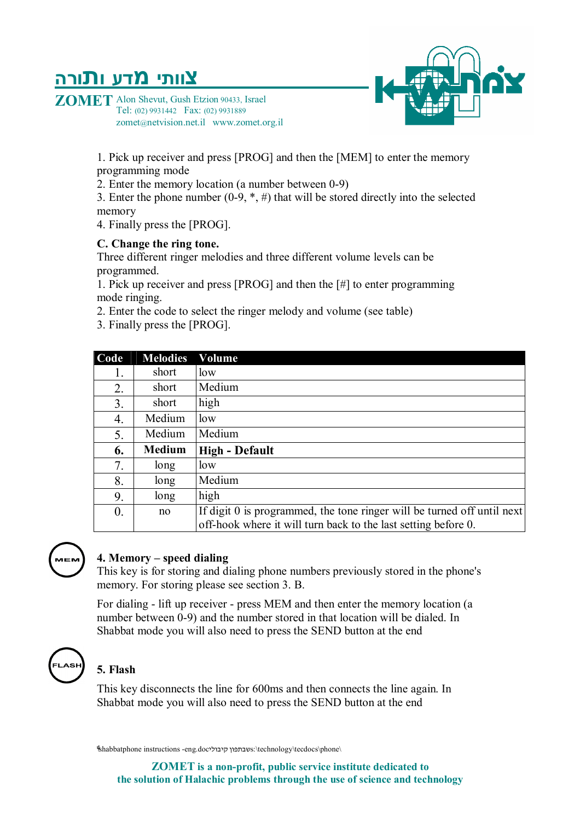**ZOMET** Alon Shevut, Gush Etzion 90433, Israel Tel: (02) 9931442 Fax: (02) 9931889 zomet@netvision.net.il www.zomet.org.il

> 1. Pick up receiver and press [PROG] and then the [MEM] to enter the memory programming mode

2. Enter the memory location (a number between 0-9)

3. Enter the phone number  $(0-9, *, #)$  that will be stored directly into the selected memory

4. Finally press the [PROG].

#### **C. Change the ring tone.**

Three different ringer melodies and three different volume levels can be programmed.

1. Pick up receiver and press [PROG] and then the [#] to enter programming mode ringing.

- 2. Enter the code to select the ringer melody and volume (see table)
- 3. Finally press the [PROG].

| Code             | <b>Melodies</b> | Volume                                                                  |
|------------------|-----------------|-------------------------------------------------------------------------|
| 1.               | short           | low                                                                     |
| 2.               | short           | Medium                                                                  |
| 3.               | short           | high                                                                    |
| 4.               | Medium          | low                                                                     |
| 5.               | Medium          | Medium                                                                  |
| 6.               | <b>Medium</b>   | <b>High - Default</b>                                                   |
| 7.               | long            | low                                                                     |
| 8.               | long            | Medium                                                                  |
| 9.               | long            | high                                                                    |
| $\overline{0}$ . | no              | If digit 0 is programmed, the tone ringer will be turned off until next |
|                  |                 | off-hook where it will turn back to the last setting before 0.          |



#### **4. Memory – speed dialing**

This key is for storing and dialing phone numbers previously stored in the phone's memory. For storing please see section 3. B.

For dialing - lift up receiver - press MEM and then enter the memory location (a number between 0-9) and the number stored in that location will be dialed. In Shabbat mode you will also need to press the SEND button at the end



### **5. Flash**

This key disconnects the line for 600ms and then connects the line again. In Shabbat mode you will also need to press the SEND button at the end

\shabbatphone instructions -eng.docקיבולי שבתפוןs:\technology\tecdocs\phone\ 4